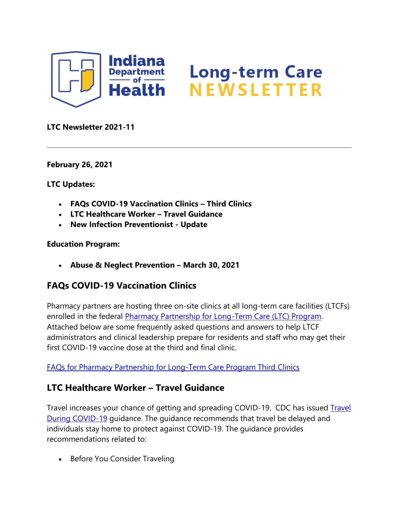

# Long-term Care<br>NEWSLETTER

#### **LTC Newsletter 2021-11**

**February 26, 2021**

**LTC Updates:** 

- **FAQs COVID-19 Vaccination Clinics – Third Clinics**
- **LTC Healthcare Worker – Travel Guidance**
- **New Infection Preventionist - Update**

#### **Education Program:**

• **Abuse & Neglect Prevention – March 30, 2021**

# **FAQs COVID-19 Vaccination Clinics**

Pharmacy partners are hosting three on-site clinics at all long-term care facilities (LTCFs) enrolled in the federal [Pharmacy Partnership for Long-Term Care \(LTC\) Program.](https://lnks.gd/l/eyJhbGciOiJIUzI1NiJ9.eyJidWxsZXRpbl9saW5rX2lkIjoxMDAsInVyaSI6ImJwMjpjbGljayIsImJ1bGxldGluX2lkIjoiMjAyMTAyMjYuMzYwMzQzODEiLCJ1cmwiOiJodHRwczovL3d3dy5jZGMuZ292L3ZhY2NpbmVzL2NvdmlkLTE5L2xvbmctdGVybS1jYXJlL3BoYXJtYWN5LXBhcnRuZXJzaGlwcy5odG1sIn0.ejKBmoH1A-ppgO0_0uTTeRAgSu6tsDnI-2dk6lGAc5U/s/1439130268/br/98421736408-l) Attached below are some frequently asked questions and answers to help LTCF administrators and clinical leadership prepare for residents and staff who may get their first COVID-19 vaccine dose at the third and final clinic.

[FAQs for Pharmacy Partnership for Long-Term Care Program Third Clinics](https://lnks.gd/l/eyJhbGciOiJIUzI1NiJ9.eyJidWxsZXRpbl9saW5rX2lkIjoxMDEsInVyaSI6ImJwMjpjbGljayIsImJ1bGxldGluX2lkIjoiMjAyMTAyMjYuMzYwMzQzODEiLCJ1cmwiOiJodHRwczovL2NvbnRlbnQuZ292ZGVsaXZlcnkuY29tL2F0dGFjaG1lbnRzL0lOU0RILzIwMjEvMDIvMjYvZmlsZV9hdHRhY2htZW50cy8xNzA3MzM4L0ZBUXMlMjBvbiUyMDFzdCUyMERvc2VzJTIwYXQlMjAzcmQlMjBDbGluaWNzJTIwYXQlMjBMVENGcyUyMDIuNS5wZGYifQ.Ftt1JvEt41x3o2mqN9aGM3vMKpid_ARRKbhq3qKq768/s/1439130268/br/98421736408-l)

# **LTC Healthcare Worker – Travel Guidance**

Travel increases your chance of getting and spreading COVID-19. CDC has issued [Travel](https://lnks.gd/l/eyJhbGciOiJIUzI1NiJ9.eyJidWxsZXRpbl9saW5rX2lkIjoxMDIsInVyaSI6ImJwMjpjbGljayIsImJ1bGxldGluX2lkIjoiMjAyMTAyMjYuMzYwMzQzODEiLCJ1cmwiOiJodHRwczovL3d3dy5jZGMuZ292L2Nvcm9uYXZpcnVzLzIwMTktbmNvdi90cmF2ZWxlcnMvdHJhdmVsLWR1cmluZy1jb3ZpZDE5Lmh0bWwifQ.d0ckchWAronmh7YyHxuT2T29TMI5BUsl_qy65fSBTQI/s/1439130268/br/98421736408-l)  [During COVID-19](https://lnks.gd/l/eyJhbGciOiJIUzI1NiJ9.eyJidWxsZXRpbl9saW5rX2lkIjoxMDIsInVyaSI6ImJwMjpjbGljayIsImJ1bGxldGluX2lkIjoiMjAyMTAyMjYuMzYwMzQzODEiLCJ1cmwiOiJodHRwczovL3d3dy5jZGMuZ292L2Nvcm9uYXZpcnVzLzIwMTktbmNvdi90cmF2ZWxlcnMvdHJhdmVsLWR1cmluZy1jb3ZpZDE5Lmh0bWwifQ.d0ckchWAronmh7YyHxuT2T29TMI5BUsl_qy65fSBTQI/s/1439130268/br/98421736408-l) guidance. The guidance recommends that travel be delayed and individuals stay home to protect against COVID-19. The guidance provides recommendations related to:

• Before You Consider Traveling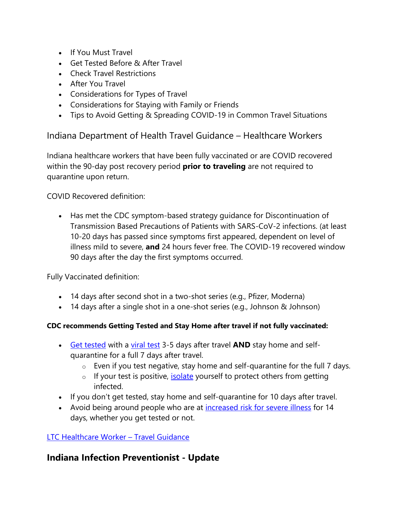- If You Must Travel
- Get Tested Before & After Travel
- Check Travel Restrictions
- After You Travel
- Considerations for Types of Travel
- Considerations for Staying with Family or Friends
- Tips to Avoid Getting & Spreading COVID-19 in Common Travel Situations

### Indiana Department of Health Travel Guidance – Healthcare Workers

Indiana healthcare workers that have been fully vaccinated or are COVID recovered within the 90-day post recovery period **prior to traveling** are not required to quarantine upon return.

COVID Recovered definition:

• Has met the CDC symptom-based strategy guidance for Discontinuation of Transmission Based Precautions of Patients with SARS-CoV-2 infections. (at least 10-20 days has passed since symptoms first appeared, dependent on level of illness mild to severe, **and** 24 hours fever free. The COVID-19 recovered window 90 days after the day the first symptoms occurred.

Fully Vaccinated definition:

- 14 days after second shot in a two-shot series (e.g., Pfizer, Moderna)
- 14 days after a single shot in a one-shot series (e.g., Johnson & Johnson)

#### **CDC recommends Getting Tested and Stay Home after travel if not fully vaccinated:**

- [Get tested](https://lnks.gd/l/eyJhbGciOiJIUzI1NiJ9.eyJidWxsZXRpbl9saW5rX2lkIjoxMDMsInVyaSI6ImJwMjpjbGljayIsImJ1bGxldGluX2lkIjoiMjAyMTAyMjYuMzYwMzQzODEiLCJ1cmwiOiJodHRwczovL3d3dy5jZGMuZ292L2Nvcm9uYXZpcnVzLzIwMTktbmNvdi90cmF2ZWxlcnMvdGVzdGluZy1haXItdHJhdmVsLmh0bWwifQ.tSIBK6n0ihZ5CFq_OUgYAap8EY4rfsrYSiZGJJBKAwA/s/1439130268/br/98421736408-l) with a [viral test](https://lnks.gd/l/eyJhbGciOiJIUzI1NiJ9.eyJidWxsZXRpbl9saW5rX2lkIjoxMDQsInVyaSI6ImJwMjpjbGljayIsImJ1bGxldGluX2lkIjoiMjAyMTAyMjYuMzYwMzQzODEiLCJ1cmwiOiJodHRwczovL3d3dy5jZGMuZ292L2Nvcm9uYXZpcnVzLzIwMTktbmNvdi90ZXN0aW5nL2RpYWdub3N0aWMtdGVzdGluZy5odG1sIn0.FNscrwEE5SDkbLe0CyZnTu2vTX51rt2NVaIRc3Zv1-U/s/1439130268/br/98421736408-l) 3-5 days after travel **AND** stay home and selfquarantine for a full 7 days after travel.
	- $\circ$  Even if you test negative, stay home and self-quarantine for the full 7 days.
	- o If your test is positive, *isolate* yourself to protect others from getting infected.
- If you don't get tested, stay home and self-quarantine for 10 days after travel.
- Avoid being around people who are at [increased risk for severe illness](https://lnks.gd/l/eyJhbGciOiJIUzI1NiJ9.eyJidWxsZXRpbl9saW5rX2lkIjoxMDYsInVyaSI6ImJwMjpjbGljayIsImJ1bGxldGluX2lkIjoiMjAyMTAyMjYuMzYwMzQzODEiLCJ1cmwiOiJodHRwczovL3d3dy5jZGMuZ292L2Nvcm9uYXZpcnVzLzIwMTktbmNvdi9uZWVkLWV4dHJhLXByZWNhdXRpb25zL2luZGV4Lmh0bWwifQ.c_DLuK6t0niU0HW1h3ACh9YADG_NohaDgGhK5mxSG2k/s/1439130268/br/98421736408-l) for 14 days, whether you get tested or not.

#### [LTC Healthcare Worker](https://lnks.gd/l/eyJhbGciOiJIUzI1NiJ9.eyJidWxsZXRpbl9saW5rX2lkIjoxMDcsInVyaSI6ImJwMjpjbGljayIsImJ1bGxldGluX2lkIjoiMjAyMTAyMjYuMzYwMzQzODEiLCJ1cmwiOiJodHRwczovL2NvbnRlbnQuZ292ZGVsaXZlcnkuY29tL2F0dGFjaG1lbnRzL0lOU0RILzIwMjEvMDIvMjYvZmlsZV9hdHRhY2htZW50cy8xNzA3MzU0L1RyYXZlbCUyMEd1aWRhbmNlJTIwMi4yNS4yMDIxLiUyMDAxLmRvY3gifQ.dynrhGLx3xh9p3OOfwXLhkFK5FzcZ33XezG5WkHZXW8/s/1439130268/br/98421736408-l) – Travel Guidance

# **Indiana Infection Preventionist - Update**